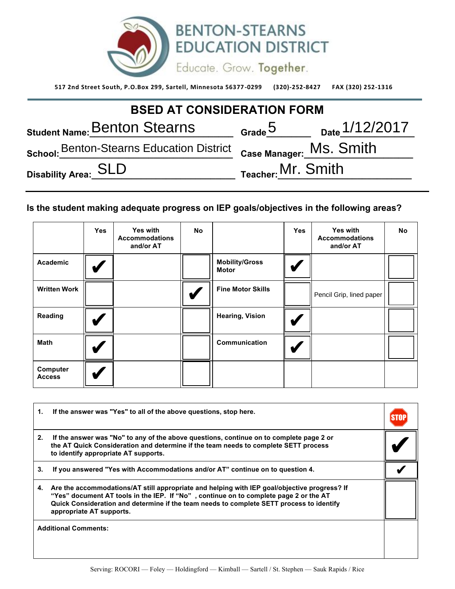

**517 2nd Street South, P.O.Box 299, Sartell, Minnesota 56377 -0299 (320)-252-8427 FAX (320) 252-1316** 

| <b>BSED AT CONSIDERATION FORM</b>                                            |                             |                                      |  |  |  |
|------------------------------------------------------------------------------|-----------------------------|--------------------------------------|--|--|--|
| Student Name: Benton Stearns                                                 |                             | $\frac{5}{2}$ Grade 5 Date 1/12/2017 |  |  |  |
| School: Benton-Stearns Education District <sub>Case Manager:</sub> MS. Smith |                             |                                      |  |  |  |
| Disability Area: SLD                                                         | $_{\sf Teacher:}$ Mr. Smith |                                      |  |  |  |

## **Is the student making adequate progress on IEP goals/objectives in the following areas?**

|                           | <b>Yes</b> | Yes with<br><b>Accommodations</b><br>and/or AT | <b>No</b> |                                       | <b>Yes</b> | <b>Yes with</b><br><b>Accommodations</b><br>and/or AT | No |
|---------------------------|------------|------------------------------------------------|-----------|---------------------------------------|------------|-------------------------------------------------------|----|
| <b>Academic</b>           |            |                                                |           | <b>Mobility/Gross</b><br><b>Motor</b> |            |                                                       |    |
| <b>Written Work</b>       |            |                                                |           | <b>Fine Motor Skills</b>              |            | Pencil Grip, lined paper                              |    |
| Reading                   |            |                                                |           | <b>Hearing, Vision</b>                |            |                                                       |    |
| <b>Math</b>               |            |                                                |           | Communication                         |            |                                                       |    |
| Computer<br><b>Access</b> |            |                                                |           |                                       |            |                                                       |    |

| 1. | If the answer was "Yes" to all of the above questions, stop here.                                                                                                                                                                                                                                             |  |
|----|---------------------------------------------------------------------------------------------------------------------------------------------------------------------------------------------------------------------------------------------------------------------------------------------------------------|--|
| 2. | If the answer was "No" to any of the above questions, continue on to complete page 2 or<br>the AT Quick Consideration and determine if the team needs to complete SETT process<br>to identify appropriate AT supports.                                                                                        |  |
| 3. | If you answered "Yes with Accommodations and/or AT" continue on to question 4.                                                                                                                                                                                                                                |  |
| 4. | Are the accommodations/AT still appropriate and helping with IEP goal/objective progress? If<br>"Yes" document AT tools in the IEP. If "No", continue on to complete page 2 or the AT<br>Quick Consideration and determine if the team needs to complete SETT process to identify<br>appropriate AT supports. |  |
|    | <b>Additional Comments:</b>                                                                                                                                                                                                                                                                                   |  |